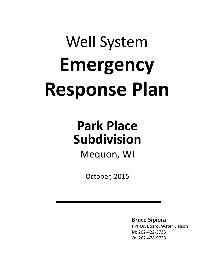# Well System **Emergency Response Plan**

# **Park Place Subdivision**

Mequon, WI

October, 2015

**Bruce Sipiora** PPHOA Board, Water Liaison M: 262-422-3733 O: 262-478-9733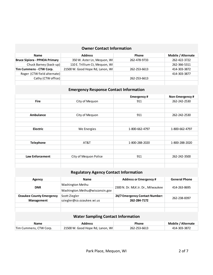### **Owner Contact Information**

| <b>Name</b>                          | <b>Address</b>                   | <b>Phone</b> | Mobile / Alternate |
|--------------------------------------|----------------------------------|--------------|--------------------|
| <b>Bruce Sipiora - PPHOA Primary</b> | 350 W. Aster Ln, Mequon, WI      | 262-478-9733 | 262-422-3722       |
| Chuck Barney (back-up)               | 110 E. Trillium Ct, Mequon, WI   |              | 262-366-5311       |
| Tim Cummens - CTW Corp.              | 21500 W. Good Hope Rd, Lanon, WI | 262-253-6613 | 414-303-3872       |
| Roger (CTW field alternate)          |                                  |              | 414-303-3877       |
| Cathy (CTW office)                   |                                  | 262-253-6613 |                    |
|                                      |                                  |              |                    |

## **Emergency Response Contact Information**

|                        |                       | <b>Emergency#</b> | Non-Emergency# |
|------------------------|-----------------------|-------------------|----------------|
| <b>Fire</b>            | City of Mequon        | 911               | 262-242-2530   |
|                        |                       |                   |                |
|                        |                       |                   |                |
| Ambulance              | City of Mequon        | 911               | 262-242-2530   |
|                        |                       |                   |                |
|                        |                       |                   |                |
| <b>Electric</b>        | We Energies           | 1-800-662-4797    | 1-800-662-4797 |
|                        |                       |                   |                |
|                        |                       |                   |                |
| <b>Telephone</b>       | AT&T                  | 1-800-288-2020    | 1-800-288-2020 |
|                        |                       |                   |                |
|                        |                       |                   |                |
| <b>Law Enforcement</b> | City of Mequon Police | 911               | 262-242-3500   |
|                        |                       |                   |                |
|                        |                       |                   |                |

# **Regulatory Agency Contact Information**

| Agency                                    | <b>Name</b>                      | <b>Address or Emergency #</b>      | <b>General Phone</b> |  |
|-------------------------------------------|----------------------------------|------------------------------------|----------------------|--|
| <b>DNR</b>                                | Washington Methu                 | 2300 N. Dr. MLK Jr. Dr., Milwaukee | 414-263-8695         |  |
|                                           | Washington.Methu@wisconsin.gov   |                                    |                      |  |
| <b>Ozaukee County Emergency</b>           | Scott Ziegler                    | 24/7 Emergency Contact Number:     | 262-238-8397         |  |
| Management                                | sziegler@co.ozaukee.wi.us        | 262-284-7172                       |                      |  |
|                                           |                                  |                                    |                      |  |
|                                           |                                  |                                    |                      |  |
| <b>Water Sampling Contact Information</b> |                                  |                                    |                      |  |
| <b>Name</b>                               | <b>Address</b>                   | Phone                              | Mobile / Alternate   |  |
| Tim Cummens, CTW Corp.                    | 21500 W. Good Hope Rd, Lanon, WI | 262-253-6613                       | 414-303-3872         |  |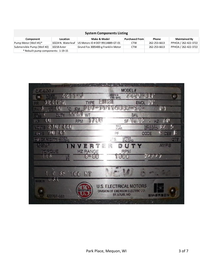| <b>System Components Listing</b>   |                    |                                    |                       |              |                      |
|------------------------------------|--------------------|------------------------------------|-----------------------|--------------|----------------------|
| Component                          | Location           | Make & Model                       | <b>Purchased From</b> | <b>Phone</b> | <b>Maintained By</b> |
| Pump Motor (Well #1)*              | 10224 N. Waterleaf | US Motors ID # D07-99114889-GT-01  | <b>CTW</b>            | 262-253-6613 | PPHOA / 262-422-3722 |
| Submersible Pump (Well #2)         | 10218 Aster        | Grund Fos 300S400-g Franklin Motor | <b>CTW</b>            | 262-253-6613 | PPHOA / 262-422-3722 |
| * Rebuilt pump components: 1-19-15 |                    |                                    |                       |              |                      |

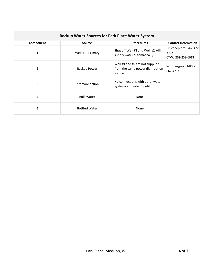| <b>Backup Water Sources for Park Place Water System</b> |                      |                                                                               |                                                      |  |
|---------------------------------------------------------|----------------------|-------------------------------------------------------------------------------|------------------------------------------------------|--|
| Component                                               | <b>Source</b>        | <b>Procedures</b>                                                             | <b>Contact Information</b>                           |  |
| 1                                                       | Well #1 - Primary    | Shut off Well #1 and Well #2 will<br>supply water automatically               | Bruce Sipiora: 262-422-<br>3722<br>CTW: 262-253-6613 |  |
| $\overline{2}$                                          | Backup Power         | Well #1 and #2 are not supplied<br>from the same power distribution<br>source | WE Energies: 1-800-<br>662-4797                      |  |
| 3                                                       | Interconnection      | No connections with other water<br>systems - private or public.               |                                                      |  |
| 4                                                       | <b>Bulk Water</b>    | None                                                                          |                                                      |  |
| 5                                                       | <b>Bottled Water</b> | None                                                                          |                                                      |  |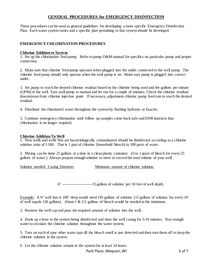#### **GENERAL PROCEDURES for EMERGENCY DISINFECTION**

These procedures can be used as general guidelines for developing a more specific Emergency Disinfection Plan. Each water system varies and a specific plan pertaining to that system should be developed.

#### **EMERGENCY CHLORINATION PROCEDURES**

#### **Chlorine Addition to System**

1. Set up the chlorination feed pump. Refer to pump O&M manual for specifics on particular pump and proper connection.

2. Make sure that chlorine feed pump operates when plugged into the outlet connected to the well pump. The chlorine feed pump should only operate when the well pump is on. Make sure pump is plugged into correct outlet.

3. Set pump to reach the desired chlorine residual based on the chlorine being used and the gallons per minute (GPM) of the well. Turn well pump to manual and let run for a couple of minutes. Check the chlorine residual downstream from chlorine injection point. If necessary, adjustment chlorine pump feed rate to reach the desired residual.

4. Distribute the chlorinated water throughout the system by flushing hydrants or faucets.

5. Continue emergency chlorination until follow up samples come back safe and DNR instructs that chlorination is no longer required.

#### **Chlorine Addition To Well**

1. New wells and wells that are bacteriologically contaminated should be disinfected according to a chlorine solution ratio of 1:100. That is 1 part of chlorine (household bleach) to 100 parts of water.

2. Mixing can be done 25 gallons at a time in a clean plastic container. (Use 1 quart of bleach for every 25 gallons of water.) Always prepare enough solution to meet or exceed the total volume of your well.

Solution needed- Casing Diameter Minimum amount of chlorine solution.

 $4\leq i\leq n-1$  and  $i\leq n-1$  gallons of solution per 10 feet of well depth. 6" -----------------------15 gallons of solution per 10 feet of well depth.

Example: A 6" well that is 100' deep would need 150 gallons of solution (15 gallons of solution for every 10' of well equals 150 gallons). About 1 &  $1/2$  gallons of bleach would be needed at the minimum.

3. Remove the well cap and pour the required amount of solution into the well.

4. Hook up a hose to the system being disinfected and rinse the well casing for 5-10 minutes. Run enough water to circulate the chlorine solution throughout the water system.

5. Turn on each of your other water taps till the bleach smell is just detected and then turn them off to keep the chlorine solution in the system.

6. Let the chlorine solution remain in the system for at least 24 hours.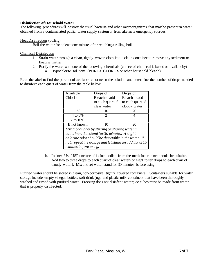#### **Disinfection of Household Water**

The following procedures will destroy the usual bacteria and other microorganisms that may be present in water obtained from a contaminated public water supply system or from alternate emergency sources.

#### Heat Disinfection (boiling)

Boil the water for at least one minute after reaching a rolling boil.

Chemical Disinfection

- 1. Strain water through a clean, tightly woven cloth into a clean container to remove any sediment or floating matter.
- 2. Purify the water with one of the following chemicals (choice of chemical is based on availability)
	- a. Hypochlorite solutions (PUREX, CLOROX or other household bleach)

Read the label to find the percent of available chlorine in the solution and determine the number of drops needed to disinfect each quart of water from the table below:

| Available                                             | Drops of         | Drops of                    |  |  |
|-------------------------------------------------------|------------------|-----------------------------|--|--|
| Chlorine                                              | Bleach to add    | Bleach to add               |  |  |
|                                                       | to each quart of | to each quart of            |  |  |
|                                                       | clear water      | cloudy water                |  |  |
| $1\%$                                                 | 10               | 20                          |  |  |
| 4 to 6%                                               | 2                |                             |  |  |
| 7 to 10%                                              |                  | $\mathcal{D}_{\mathcal{L}}$ |  |  |
| If not known                                          | 10               | 20                          |  |  |
| Mix thoroughly by stirring or shaking water in        |                  |                             |  |  |
| container. Let stand for 30 minutes. A slight         |                  |                             |  |  |
| chlorine odor should be detectable in the water. If   |                  |                             |  |  |
| not, repeat the dosage and let stand an additional 15 |                  |                             |  |  |
| minutes before using.                                 |                  |                             |  |  |

b. Iodine: Use USP tincture of iodine; iodine from the medicine cabinet should be suitable. Add two to three drops to each quart of clear water (or eight to ten drops to each quart of cloudy water). Mix and let water stand for 30 minutes before using.

Purified water should be stored in clean, non-corrosive, tightly covered containers. Containers suitable for water storage include empty vinegar bottles, soft drink jugs and plastic milk containers that have been thoroughly washed and rinsed with purified water. Freezing does not disinfect water; ice cubes must be made from water that is properly disinfected.